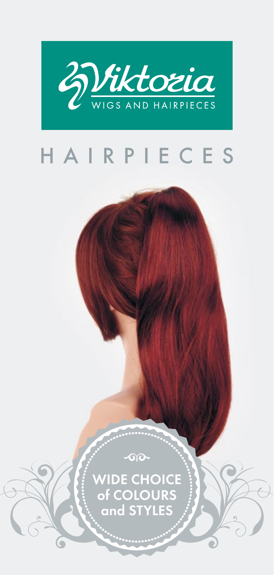

## H A I R P I E C E S

 $\sim$ 

........

WIDE CHOICE of COLOURS and STYLES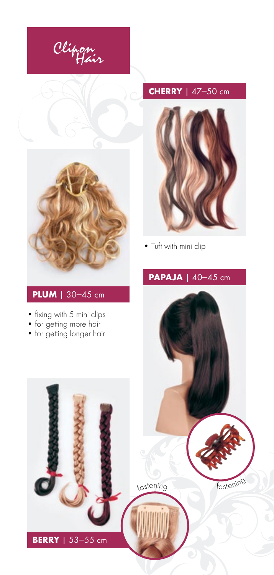





• Tuft with mini clip

#### **PLUM** | 30—45 cm

- fixing with 5 mini clips
- for getting more hair
- for getting longer hair



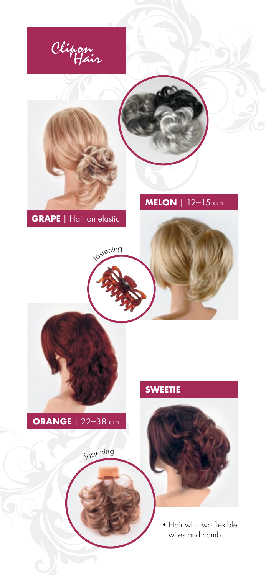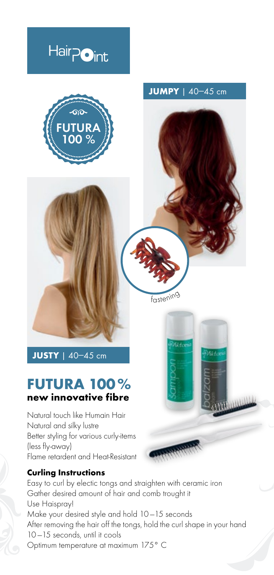## Hair<sub>Point</sub>



**JUMPY** | 40—45 cm

<sup>f</sup>asteni<sup>n</sup><sup>g</sup>

an<br>Afrikani



#### **FUTURA 100 % new innovative fibre**

Natural touch like Humain Hair Natural and silky lustre Better styling for various curly-items (less fly-away) Flame retardent and Heat-Resistant

#### **Curling Instructions**

Easy to curl by electic tongs and straighten with ceramic iron Gather desired amount of hair and comb trought it Use Haispray! Make your desired style and hold 10 —15 seconds After removing the hair off the tongs, hold the curl shape in your hand 10-15 seconds, until it cools Optimum temperature at maximum 175° C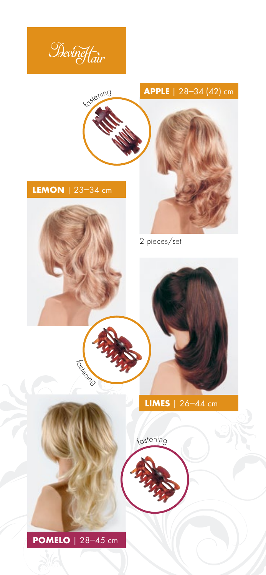